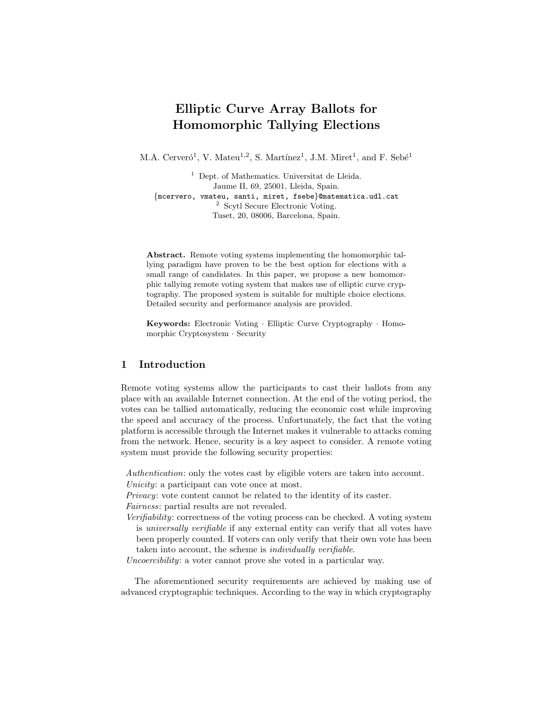# Elliptic Curve Array Ballots for Homomorphic Tallying Elections

M.A. Cerveró<sup>1</sup>, V. Mateu<sup>1,2</sup>, S. Martínez<sup>1</sup>, J.M. Miret<sup>1</sup>, and F. Sebé<sup>1</sup>

 $<sup>1</sup>$  Dept. of Mathematics. Universitat de Lleida.</sup> Jaume II, 69, 25001, Lleida, Spain. {mcervero, vmateu, santi, miret, fsebe}@matematica.udl.cat <sup>2</sup> Scytl Secure Electronic Voting. Tuset, 20, 08006, Barcelona, Spain.

Abstract. Remote voting systems implementing the homomorphic tallying paradigm have proven to be the best option for elections with a small range of candidates. In this paper, we propose a new homomorphic tallying remote voting system that makes use of elliptic curve cryptography. The proposed system is suitable for multiple choice elections. Detailed security and performance analysis are provided.

Keywords: Electronic Voting · Elliptic Curve Cryptography · Homomorphic Cryptosystem · Security

## 1 Introduction

Remote voting systems allow the participants to cast their ballots from any place with an available Internet connection. At the end of the voting period, the votes can be tallied automatically, reducing the economic cost while improving the speed and accuracy of the process. Unfortunately, the fact that the voting platform is accessible through the Internet makes it vulnerable to attacks coming from the network. Hence, security is a key aspect to consider. A remote voting system must provide the following security properties:

Authentication: only the votes cast by eligible voters are taken into account. Unicity: a participant can vote once at most.

Privacy: vote content cannot be related to the identity of its caster.

Fairness: partial results are not revealed.

Verifiability: correctness of the voting process can be checked. A voting system is universally verifiable if any external entity can verify that all votes have been properly counted. If voters can only verify that their own vote has been taken into account, the scheme is individually verifiable.

Uncoercibility: a voter cannot prove she voted in a particular way.

The aforementioned security requirements are achieved by making use of advanced cryptographic techniques. According to the way in which cryptography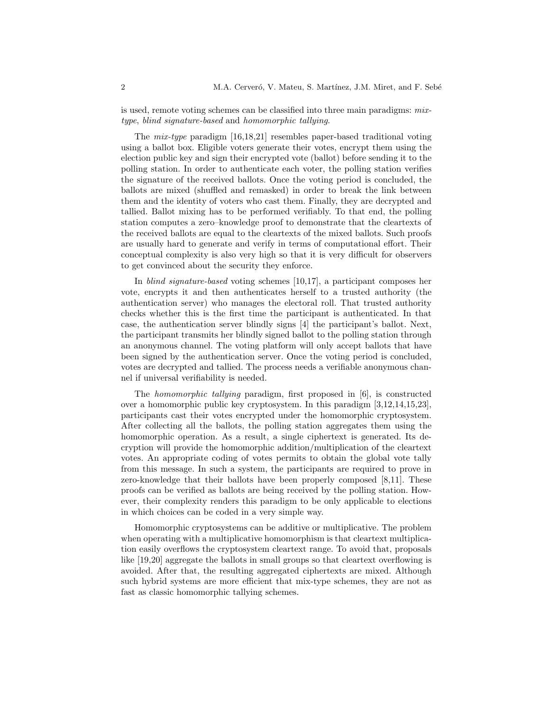is used, remote voting schemes can be classified into three main paradigms: mixtype, blind signature-based and homomorphic tallying.

The mix-type paradigm [16,18,21] resembles paper-based traditional voting using a ballot box. Eligible voters generate their votes, encrypt them using the election public key and sign their encrypted vote (ballot) before sending it to the polling station. In order to authenticate each voter, the polling station verifies the signature of the received ballots. Once the voting period is concluded, the ballots are mixed (shuffled and remasked) in order to break the link between them and the identity of voters who cast them. Finally, they are decrypted and tallied. Ballot mixing has to be performed verifiably. To that end, the polling station computes a zero–knowledge proof to demonstrate that the cleartexts of the received ballots are equal to the cleartexts of the mixed ballots. Such proofs are usually hard to generate and verify in terms of computational effort. Their conceptual complexity is also very high so that it is very difficult for observers to get convinced about the security they enforce.

In blind signature-based voting schemes [10,17], a participant composes her vote, encrypts it and then authenticates herself to a trusted authority (the authentication server) who manages the electoral roll. That trusted authority checks whether this is the first time the participant is authenticated. In that case, the authentication server blindly signs [4] the participant's ballot. Next, the participant transmits her blindly signed ballot to the polling station through an anonymous channel. The voting platform will only accept ballots that have been signed by the authentication server. Once the voting period is concluded, votes are decrypted and tallied. The process needs a verifiable anonymous channel if universal verifiability is needed.

The homomorphic tallying paradigm, first proposed in [6], is constructed over a homomorphic public key cryptosystem. In this paradigm [3,12,14,15,23], participants cast their votes encrypted under the homomorphic cryptosystem. After collecting all the ballots, the polling station aggregates them using the homomorphic operation. As a result, a single ciphertext is generated. Its decryption will provide the homomorphic addition/multiplication of the cleartext votes. An appropriate coding of votes permits to obtain the global vote tally from this message. In such a system, the participants are required to prove in zero-knowledge that their ballots have been properly composed [8,11]. These proofs can be verified as ballots are being received by the polling station. However, their complexity renders this paradigm to be only applicable to elections in which choices can be coded in a very simple way.

Homomorphic cryptosystems can be additive or multiplicative. The problem when operating with a multiplicative homomorphism is that cleartext multiplication easily overflows the cryptosystem cleartext range. To avoid that, proposals like [19,20] aggregate the ballots in small groups so that cleartext overflowing is avoided. After that, the resulting aggregated ciphertexts are mixed. Although such hybrid systems are more efficient that mix-type schemes, they are not as fast as classic homomorphic tallying schemes.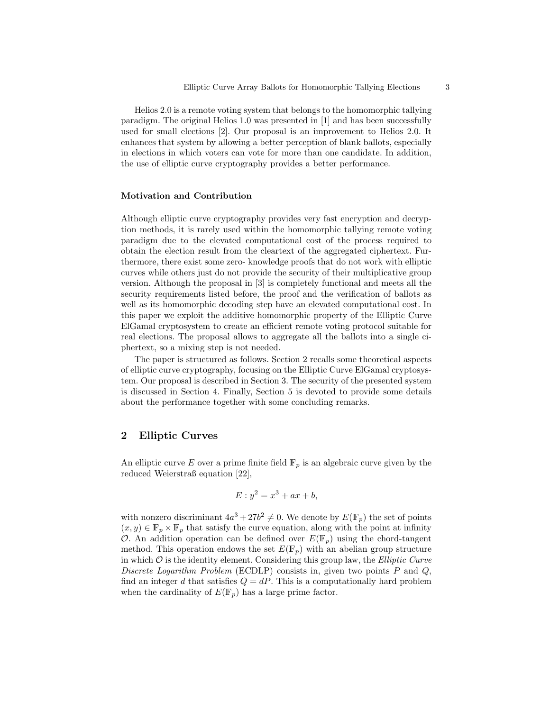Helios 2.0 is a remote voting system that belongs to the homomorphic tallying paradigm. The original Helios 1.0 was presented in [1] and has been successfully used for small elections [2]. Our proposal is an improvement to Helios 2.0. It enhances that system by allowing a better perception of blank ballots, especially in elections in which voters can vote for more than one candidate. In addition, the use of elliptic curve cryptography provides a better performance.

#### Motivation and Contribution

Although elliptic curve cryptography provides very fast encryption and decryption methods, it is rarely used within the homomorphic tallying remote voting paradigm due to the elevated computational cost of the process required to obtain the election result from the cleartext of the aggregated ciphertext. Furthermore, there exist some zero- knowledge proofs that do not work with elliptic curves while others just do not provide the security of their multiplicative group version. Although the proposal in [3] is completely functional and meets all the security requirements listed before, the proof and the verification of ballots as well as its homomorphic decoding step have an elevated computational cost. In this paper we exploit the additive homomorphic property of the Elliptic Curve ElGamal cryptosystem to create an efficient remote voting protocol suitable for real elections. The proposal allows to aggregate all the ballots into a single ciphertext, so a mixing step is not needed.

The paper is structured as follows. Section 2 recalls some theoretical aspects of elliptic curve cryptography, focusing on the Elliptic Curve ElGamal cryptosystem. Our proposal is described in Section 3. The security of the presented system is discussed in Section 4. Finally, Section 5 is devoted to provide some details about the performance together with some concluding remarks.

# 2 Elliptic Curves

An elliptic curve E over a prime finite field  $\mathbb{F}_p$  is an algebraic curve given by the reduced Weierstraß equation [22],

$$
E: y^2 = x^3 + ax + b,
$$

with nonzero discriminant  $4a^3 + 27b^2 \neq 0$ . We denote by  $E(\mathbb{F}_p)$  the set of points  $(x, y) \in \mathbb{F}_p \times \mathbb{F}_p$  that satisfy the curve equation, along with the point at infinity O. An addition operation can be defined over  $E(\mathbb{F}_p)$  using the chord-tangent method. This operation endows the set  $E(\mathbb{F}_p)$  with an abelian group structure in which  $\mathcal O$  is the identity element. Considering this group law, the *Elliptic Curve* Discrete Logarithm Problem (ECDLP) consists in, given two points  $P$  and  $Q$ , find an integer d that satisfies  $Q = dP$ . This is a computationally hard problem when the cardinality of  $E(\mathbb{F}_p)$  has a large prime factor.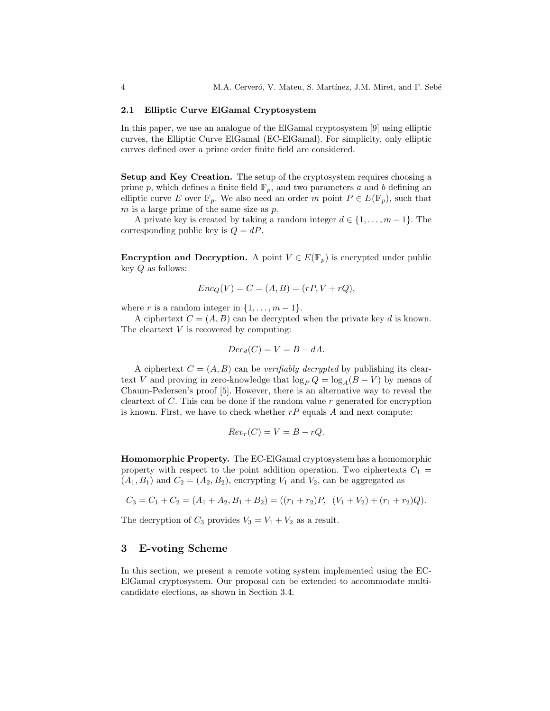## 2.1 Elliptic Curve ElGamal Cryptosystem

In this paper, we use an analogue of the ElGamal cryptosystem [9] using elliptic curves, the Elliptic Curve ElGamal (EC-ElGamal). For simplicity, only elliptic curves defined over a prime order finite field are considered.

Setup and Key Creation. The setup of the cryptosystem requires choosing a prime p, which defines a finite field  $\mathbb{F}_p$ , and two parameters a and b defining an elliptic curve E over  $\mathbb{F}_p$ . We also need an order m point  $P \in E(\mathbb{F}_p)$ , such that  $m$  is a large prime of the same size as  $p$ .

A private key is created by taking a random integer  $d \in \{1, \ldots, m-1\}$ . The corresponding public key is  $Q = dP$ .

**Encryption and Decryption.** A point  $V \in E(\mathbb{F}_p)$  is encrypted under public key Q as follows:

$$
Enc_Q(V) = C = (A, B) = (rP, V + rQ),
$$

where r is a random integer in  $\{1, \ldots, m-1\}$ .

A ciphertext  $C = (A, B)$  can be decrypted when the private key d is known. The cleartext  $V$  is recovered by computing:

$$
Dec_d(C) = V = B - dA.
$$

A ciphertext  $C = (A, B)$  can be *verifiably decrypted* by publishing its cleartext V and proving in zero-knowledge that  $\log_P Q = \log_A(B - V)$  by means of Chaum-Pedersen's proof [5]. However, there is an alternative way to reveal the cleartext of  $C$ . This can be done if the random value  $r$  generated for encryption is known. First, we have to check whether  $rP$  equals A and next compute:

$$
Rev_r(C) = V = B - rQ.
$$

Homomorphic Property. The EC-ElGamal cryptosystem has a homomorphic property with respect to the point addition operation. Two ciphertexts  $C_1$  =  $(A_1, B_1)$  and  $C_2 = (A_2, B_2)$ , encrypting  $V_1$  and  $V_2$ , can be aggregated as

$$
C_3 = C_1 + C_2 = (A_1 + A_2, B_1 + B_2) = ((r_1 + r_2)P, (V_1 + V_2) + (r_1 + r_2)Q).
$$

The decryption of  $C_3$  provides  $V_3 = V_1 + V_2$  as a result.

# 3 E-voting Scheme

In this section, we present a remote voting system implemented using the EC-ElGamal cryptosystem. Our proposal can be extended to accommodate multicandidate elections, as shown in Section 3.4.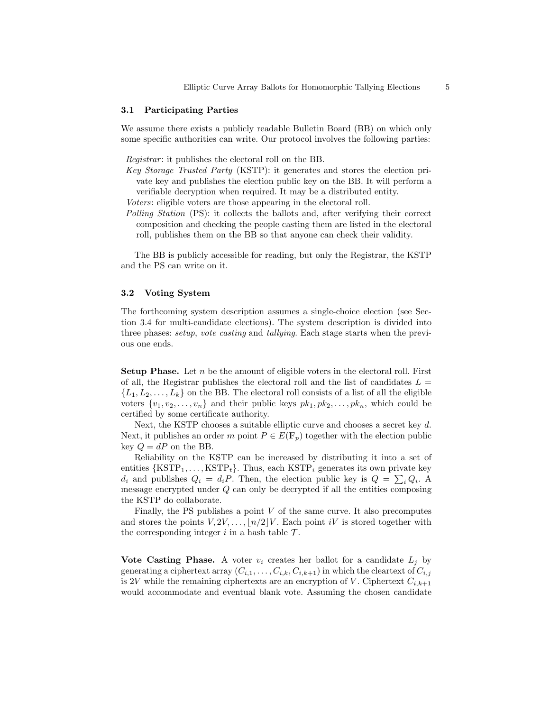### 3.1 Participating Parties

We assume there exists a publicly readable Bulletin Board (BB) on which only some specific authorities can write. Our protocol involves the following parties:

Registrar: it publishes the electoral roll on the BB.

Key Storage Trusted Party (KSTP): it generates and stores the election private key and publishes the election public key on the BB. It will perform a verifiable decryption when required. It may be a distributed entity.

Voters: eligible voters are those appearing in the electoral roll.

Polling Station (PS): it collects the ballots and, after verifying their correct composition and checking the people casting them are listed in the electoral roll, publishes them on the BB so that anyone can check their validity.

The BB is publicly accessible for reading, but only the Registrar, the KSTP and the PS can write on it.

#### 3.2 Voting System

The forthcoming system description assumes a single-choice election (see Section 3.4 for multi-candidate elections). The system description is divided into three phases: setup, vote casting and tallying. Each stage starts when the previous one ends.

**Setup Phase.** Let n be the amount of eligible voters in the electoral roll. First of all, the Registrar publishes the electoral roll and the list of candidates  $L =$  $\{L_1, L_2, \ldots, L_k\}$  on the BB. The electoral roll consists of a list of all the eligible voters  $\{v_1, v_2, \ldots, v_n\}$  and their public keys  $pk_1, pk_2, \ldots, pk_n$ , which could be certified by some certificate authority.

Next, the KSTP chooses a suitable elliptic curve and chooses a secret key d. Next, it publishes an order m point  $P \in E(\mathbb{F}_p)$  together with the election public key  $Q = dP$  on the BB.

Reliability on the KSTP can be increased by distributing it into a set of entities  $\{KSTP_1, \ldots, KSTP_t\}$ . Thus, each  $KSTP_i$  generates its own private key  $d_i$  and publishes  $Q_i = d_i P$ . Then, the election public key is  $Q = \sum_i Q_i$ . A message encrypted under  $Q$  can only be decrypted if all the entities composing the KSTP do collaborate.

Finally, the PS publishes a point  $V$  of the same curve. It also precomputes and stores the points  $V, 2V, \ldots, \lfloor n/2 \rfloor V$ . Each point iV is stored together with the corresponding integer i in a hash table  $\mathcal{T}$ .

Vote Casting Phase. A voter  $v_i$  creates her ballot for a candidate  $L_i$  by generating a ciphertext array  $(C_{i,1}, \ldots, C_{i,k}, C_{i,k+1})$  in which the cleartext of  $C_{i,j}$ is 2V while the remaining ciphertexts are an encryption of V. Ciphertext  $C_{i,k+1}$ would accommodate and eventual blank vote. Assuming the chosen candidate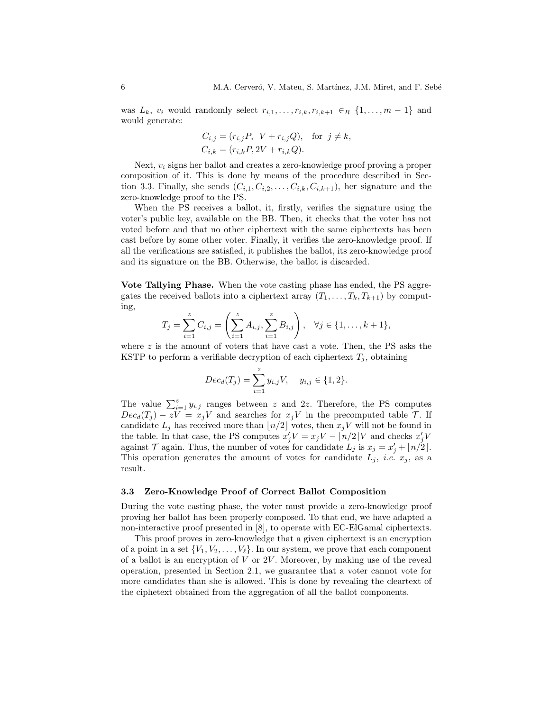was  $L_k$ ,  $v_i$  would randomly select  $r_{i,1}, \ldots, r_{i,k}, r_{i,k+1} \in_R \{1, \ldots, m-1\}$  and would generate:

$$
C_{i,j} = (r_{i,j}P, V + r_{i,j}Q),
$$
 for  $j \neq k$ ,  
\n $C_{i,k} = (r_{i,k}P, 2V + r_{i,k}Q).$ 

Next, v<sup>i</sup> signs her ballot and creates a zero-knowledge proof proving a proper composition of it. This is done by means of the procedure described in Section 3.3. Finally, she sends  $(C_{i,1}, C_{i,2}, \ldots, C_{i,k}, C_{i,k+1})$ , her signature and the zero-knowledge proof to the PS.

When the PS receives a ballot, it, firstly, verifies the signature using the voter's public key, available on the BB. Then, it checks that the voter has not voted before and that no other ciphertext with the same ciphertexts has been cast before by some other voter. Finally, it verifies the zero-knowledge proof. If all the verifications are satisfied, it publishes the ballot, its zero-knowledge proof and its signature on the BB. Otherwise, the ballot is discarded.

Vote Tallying Phase. When the vote casting phase has ended, the PS aggregates the received ballots into a ciphertext array  $(T_1, \ldots, T_k, T_{k+1})$  by computing,

$$
T_j = \sum_{i=1}^z C_{i,j} = \left(\sum_{i=1}^z A_{i,j}, \sum_{i=1}^z B_{i,j}\right), \quad \forall j \in \{1, \dots, k+1\},\
$$

where  $z$  is the amount of voters that have cast a vote. Then, the PS asks the KSTP to perform a verifiable decryption of each ciphertext  $T_i$ , obtaining

$$
Dec_{d}(T_{j}) = \sum_{i=1}^{z} y_{i,j} V, \quad y_{i,j} \in \{1, 2\}.
$$

The value  $\sum_{i=1}^{z} y_{i,j}$  ranges between z and 2z. Therefore, the PS computes  $Dec_{d}(T_i) - zV = x_iV$  and searches for  $x_iV$  in the precomputed table  $\mathcal{T}$ . If candidate  $L_j$  has received more than  $\lfloor n/2 \rfloor$  votes, then  $x_jV$  will not be found in the table. In that case, the PS computes  $x'_j V = x_j V - \lfloor n/2 \rfloor V$  and checks  $x'_j V$ against  $\mathcal T$  again. Thus, the number of votes for candidate  $L_j$  is  $x_j = x'_j + \lfloor n/2 \rfloor$ . This operation generates the amount of votes for candidate  $L_j$ , *i.e.*  $x_j$ , as a result.

#### 3.3 Zero-Knowledge Proof of Correct Ballot Composition

During the vote casting phase, the voter must provide a zero-knowledge proof proving her ballot has been properly composed. To that end, we have adapted a non-interactive proof presented in [8], to operate with EC-ElGamal ciphertexts.

This proof proves in zero-knowledge that a given ciphertext is an encryption of a point in a set  $\{V_1, V_2, \ldots, V_{\ell}\}\$ . In our system, we prove that each component of a ballot is an encryption of  $V$  or  $2V$ . Moreover, by making use of the reveal operation, presented in Section 2.1, we guarantee that a voter cannot vote for more candidates than she is allowed. This is done by revealing the cleartext of the ciphetext obtained from the aggregation of all the ballot components.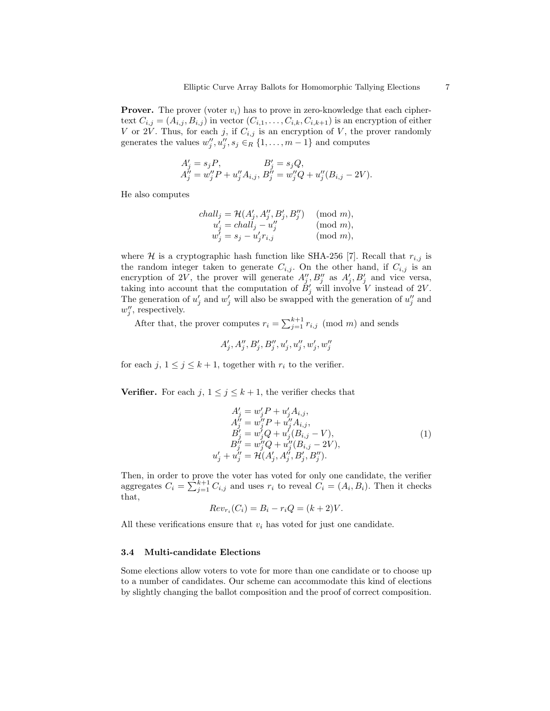**Prover.** The prover (voter  $v_i$ ) has to prove in zero-knowledge that each ciphertext  $C_{i,j} = (A_{i,j}, B_{i,j})$  in vector  $(C_{i,1}, \ldots, C_{i,k}, C_{i,k+1})$  is an encryption of either V or  $2V$ . Thus, for each j, if  $C_{i,j}$  is an encryption of V, the prover randomly generates the values  $w''_j, u''_j, s_j \in_R \{1, \ldots, m-1\}$  and computes

$$
A'_{j} = s_{j}P, \t B'_{j} = s_{j}Q,
$$
  
\n
$$
A''_{j} = w''_{j}P + u''_{j}A_{i,j}, B''_{j} = w''_{j}Q + u''_{j}(B_{i,j} - 2V).
$$

He also computes

$$
\begin{array}{ll} chall_j = \mathcal{H}(A'_j, A''_j, B'_j, B''_j) & \!\!\!\!\pmod{m},\\ u'_j = chall_j - u''_j & \!\!\!\!\pmod{m},\\ w'_j = s_j - u'_j r_{i,j} & \!\!\!\!\pmod{m}, \end{array}
$$

where H is a cryptographic hash function like SHA-256 [7]. Recall that  $r_{i,j}$  is the random integer taken to generate  $C_{i,j}$ . On the other hand, if  $C_{i,j}$  is an encryption of 2V, the prover will generate  $A''_j, B''_j$  as  $A'_j, B'_j$  and vice versa, taking into account that the computation of  $\check{B}'_j$  will involve V instead of 2V. The generation of  $u'_j$  and  $w'_j$  will also be swapped with the generation of  $u''_j$  and  $w''_j$ , respectively.

After that, the prover computes  $r_i = \sum_{j=1}^{k+1} r_{i,j} \pmod{m}$  and sends

$$
A'_j, A''_j, B'_j, B''_j, u'_j, u''_j, w'_j, w''_j
$$

for each j,  $1 \leq j \leq k+1$ , together with  $r_i$  to the verifier.

**Verifier.** For each  $j, 1 \leq j \leq k+1$ , the verifier checks that

$$
A'_{j} = w'_{j} P + u'_{j} A_{i,j},
$$
  
\n
$$
A''_{j} = w''_{j} P + u''_{j} A_{i,j},
$$
  
\n
$$
B'_{j} = w'_{j} Q + u'_{j} (B_{i,j} - V),
$$
  
\n
$$
B''_{j} = w''_{j} Q + u''_{j} (B_{i,j} - 2V),
$$
  
\n
$$
u'_{j} + u''_{j} = \mathcal{H}(A'_{j}, A''_{j}, B'_{j}, B''_{j}).
$$
  
\n(1)

Then, in order to prove the voter has voted for only one candidate, the verifier aggregates  $C_i = \sum_{j=1}^{k+1} C_{i,j}$  and uses  $r_i$  to reveal  $C_i = (A_i, B_i)$ . Then it checks that,

$$
Rev_{r_i}(C_i) = B_i - r_i Q = (k+2)V.
$$

All these verifications ensure that  $v_i$  has voted for just one candidate.

## 3.4 Multi-candidate Elections

Some elections allow voters to vote for more than one candidate or to choose up to a number of candidates. Our scheme can accommodate this kind of elections by slightly changing the ballot composition and the proof of correct composition.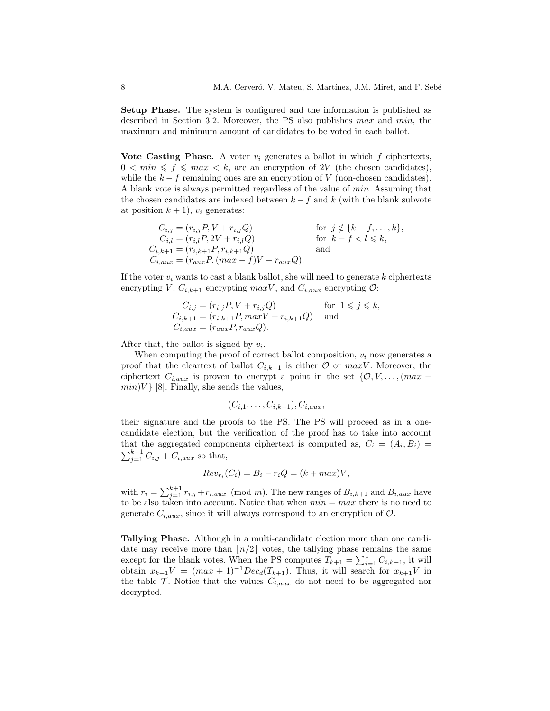Setup Phase. The system is configured and the information is published as described in Section 3.2. Moreover, the PS also publishes max and min, the maximum and minimum amount of candidates to be voted in each ballot.

Vote Casting Phase. A voter  $v_i$  generates a ballot in which  $f$  ciphertexts,  $0 < min \leq f \leq max \leq k$ , are an encryption of 2V (the chosen candidates), while the  $k - f$  remaining ones are an encryption of V (non-chosen candidates). A blank vote is always permitted regardless of the value of min. Assuming that the chosen candidates are indexed between  $k - f$  and k (with the blank subvote at position  $k + 1$ ,  $v_i$  generates:

$$
C_{i,j} = (r_{i,j}P, V + r_{i,j}Q) \qquad \text{for } j \notin \{k - f, ..., k\},
$$
  
\n
$$
C_{i,l} = (r_{i,l}P, 2V + r_{i,l}Q) \qquad \text{for } k - f < l \leq k,
$$
  
\n
$$
C_{i, k+1} = (r_{i,k+1}P, r_{i,k+1}Q) \qquad \text{and}
$$
  
\n
$$
C_{i, aux} = (r_{aux}P, (max - f)V + r_{aux}Q).
$$

If the voter  $v_i$  wants to cast a blank ballot, she will need to generate  $k$  ciphertexts encrypting V,  $C_{i,k+1}$  encrypting maxV, and  $C_{i,aux}$  encrypting  $\mathcal{O}$ :

$$
C_{i,j} = (r_{i,j}P, V + r_{i,j}Q) \quad \text{for } 1 \leq j \leq k,
$$
  
\n
$$
C_{i,k+1} = (r_{i,k+1}P, maxV + r_{i,k+1}Q) \quad \text{and}
$$
  
\n
$$
C_{i,aux} = (r_{aux}P, r_{aux}Q).
$$

After that, the ballot is signed by  $v_i$ .

When computing the proof of correct ballot composition,  $v_i$  now generates a proof that the cleartext of ballot  $C_{i,k+1}$  is either  $O$  or  $maxV$ . Moreover, the ciphertext  $C_{i,aux}$  is proven to encrypt a point in the set  $\{\mathcal{O}, V, \ldots, (max - \mathcal{O})\}$  $min$  V } [8]. Finally, she sends the values,

$$
(C_{i,1},\ldots,C_{i,k+1}),C_{i,aux},
$$

their signature and the proofs to the PS. The PS will proceed as in a onecandidate election, but the verification of the proof has to take into account that the aggregated components ciphertext is computed as,  $C_i = (A_i, B_i)$  $\sum_{j=1}^{k+1} C_{i,j} + C_{i,aux}$  so that,

$$
Rev_{r_i}(C_i) = B_i - r_i Q = (k + max)V,
$$

with  $r_i = \sum_{j=1}^{k+1} r_{i,j} + r_{i,aux}$  (mod m). The new ranges of  $B_{i,k+1}$  and  $B_{i,aux}$  have to be also taken into account. Notice that when  $min = max$  there is no need to generate  $C_{i,aux}$ , since it will always correspond to an encryption of  $\mathcal{O}$ .

Tallying Phase. Although in a multi-candidate election more than one candidate may receive more than  $n/2$  votes, the tallying phase remains the same except for the blank votes. When the PS computes  $T_{k+1} = \sum_{i=1}^{z} C_{i,k+1}$ , it will obtain  $x_{k+1}V = (max + 1)^{-1}Dec_d(T_{k+1})$ . Thus, it will search for  $x_{k+1}V$  in the table  $\mathcal{T}$ . Notice that the values  $C_{i,aux}$  do not need to be aggregated nor decrypted.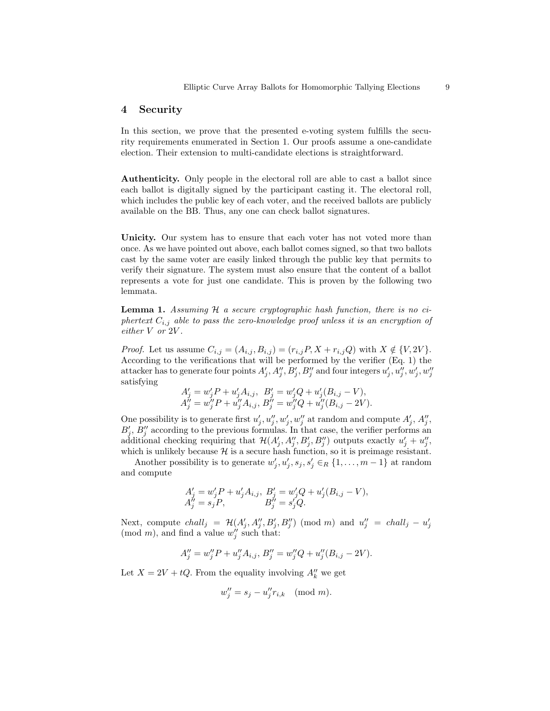## 4 Security

In this section, we prove that the presented e-voting system fulfills the security requirements enumerated in Section 1. Our proofs assume a one-candidate election. Their extension to multi-candidate elections is straightforward.

Authenticity. Only people in the electoral roll are able to cast a ballot since each ballot is digitally signed by the participant casting it. The electoral roll, which includes the public key of each voter, and the received ballots are publicly available on the BB. Thus, any one can check ballot signatures.

Unicity. Our system has to ensure that each voter has not voted more than once. As we have pointed out above, each ballot comes signed, so that two ballots cast by the same voter are easily linked through the public key that permits to verify their signature. The system must also ensure that the content of a ballot represents a vote for just one candidate. This is proven by the following two lemmata.

**Lemma 1.** Assuming  $H$  a secure cryptographic hash function, there is no ciphertext  $C_{i,j}$  able to pass the zero-knowledge proof unless it is an encryption of either V or  $2V$ .

*Proof.* Let us assume  $C_{i,j} = (A_{i,j}, B_{i,j}) = (r_{i,j}P, X + r_{i,j}Q)$  with  $X \notin \{V, 2V\}$ . According to the verifications that will be performed by the verifier (Eq. 1) the attacker has to generate four points  $A'_j$ ,  $A''_j$ ,  $B'_j$ ,  $B''_j$  and four integers  $u'_j$ ,  $u''_j$ ,  $w'_j$ ,  $w''_j$ satisfying

$$
A'_{j} = w'_{j}P + u'_{j}A_{i,j}, \ B'_{j} = w'_{j}Q + u'_{j}(B_{i,j} - V), A''_{j} = w''_{j}P + u''_{j}A_{i,j}, B''_{j} = w''_{j}Q + u''_{j}(B_{i,j} - 2V).
$$

One possibility is to generate first  $u'_j, u''_j, w'_j, w''_j$  at random and compute  $A'_j, A''_j$ ,  $B'_{j}, B''_{j}$  according to the previous formulas. In that case, the verifier performs an additional checking requiring that  $\mathcal{H}(A'_j, A''_j, B'_j, B''_j)$  outputs exactly  $u'_j + u''_j$ , which is unlikely because  $H$  is a secure hash function, so it is preimage resistant.

Another possibility is to generate  $w'_j, u'_j, s_j, s'_j \in_R \{1, \ldots, m-1\}$  at random and compute

$$
A'_{j} = w'_{j}P + u'_{j}A_{i,j}, B'_{j} = w'_{j}Q + u'_{j}(B_{i,j} - V),
$$
  
\n
$$
A''_{j} = s_{j}P, B''_{j} = s'_{j}Q.
$$

Next, compute  $chall_j = \mathcal{H}(A'_j, A''_j, B'_j, B''_j)$  (mod *m*) and  $u''_j = chall_j - u'_j$  (mod *m*), and find a value  $w''_j$  such that:

$$
A''_j = w''_j P + u''_j A_{i,j}, B''_j = w''_j Q + u''_j (B_{i,j} - 2V).
$$

Let  $X = 2V + tQ$ . From the equality involving  $A_k''$  we get

$$
w''_j = s_j - u''_j r_{i,k} \pmod{m}.
$$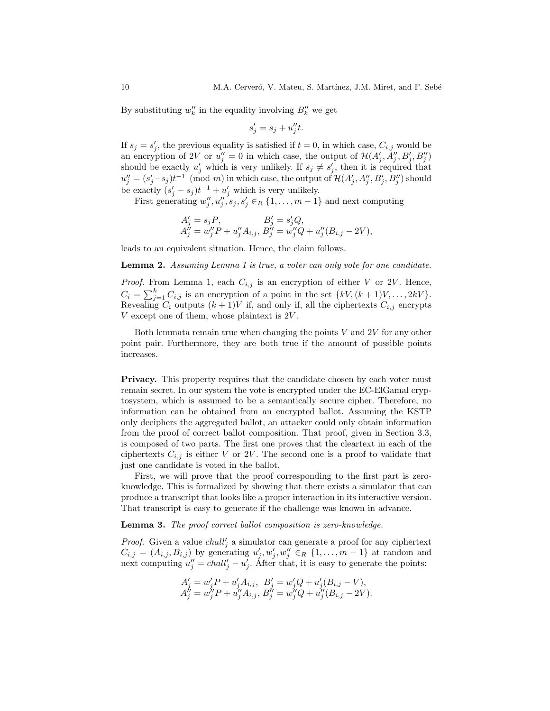By substituting  $w_k''$  in the equality involving  $B_k''$  we get

$$
s_j' = s_j + u_j''t.
$$

If  $s_j = s'_j$ , the previous equality is satisfied if  $t = 0$ , in which case,  $C_{i,j}$  would be an encryption of 2V or  $u''_j = 0$  in which case, the output of  $\mathcal{H}(A'_j, \tilde{A}''_j, B'_j, B''_j)$ should be exactly  $u'_j$  which is very unlikely. If  $s_j \neq s'_j$ , then it is required that  $u''_j = (s'_j - s_j)t^{-1} \pmod{m}$  in which case, the output of  $\mathcal{H}(A'_j, A''_j, B'_j, B''_j)$  should be exactly  $(s'_j - s_j)t^{-1} + u'_j$  which is very unlikely.

First generating  $w''_j, u''_j, s_j, s'_j \in_R \{1, \ldots, m-1\}$  and next computing

$$
A'_{j} = s_{j}P, \t B'_{j} = s'_{j}Q,A''_{j} = w''_{j}P + u''_{j}A_{i,j}, B''_{j} = w''_{j}Q + u''_{j}(B_{i,j} - 2V),
$$

leads to an equivalent situation. Hence, the claim follows.

Lemma 2. Assuming Lemma 1 is true, a voter can only vote for one candidate.

*Proof.* From Lemma 1, each  $C_{i,j}$  is an encryption of either V or 2V. Hence,  $C_i = \sum_{j=1}^{k} C_{i,j}$  is an encryption of a point in the set  $\{kV, (k+1)V, \ldots, 2kV\}.$ Revealing  $C_i$  outputs  $(k + 1)V$  if, and only if, all the ciphertexts  $C_{i,j}$  encrypts  $V$  except one of them, whose plaintext is  $2V$ .

Both lemmata remain true when changing the points  $V$  and  $2V$  for any other point pair. Furthermore, they are both true if the amount of possible points increases.

Privacy. This property requires that the candidate chosen by each voter must remain secret. In our system the vote is encrypted under the EC-ElGamal cryptosystem, which is assumed to be a semantically secure cipher. Therefore, no information can be obtained from an encrypted ballot. Assuming the KSTP only deciphers the aggregated ballot, an attacker could only obtain information from the proof of correct ballot composition. That proof, given in Section 3.3, is composed of two parts. The first one proves that the cleartext in each of the ciphertexts  $C_{i,j}$  is either V or 2V. The second one is a proof to validate that just one candidate is voted in the ballot.

First, we will prove that the proof corresponding to the first part is zeroknowledge. This is formalized by showing that there exists a simulator that can produce a transcript that looks like a proper interaction in its interactive version. That transcript is easy to generate if the challenge was known in advance.

Lemma 3. The proof correct ballot composition is zero-knowledge.

*Proof.* Given a value  $chall'_j$  a simulator can generate a proof for any ciphertext  $C_{i,j} = (A_{i,j}, B_{i,j})$  by generating  $u'_j, w'_j, w''_j \in_R \{1, \ldots, m-1\}$  at random and next computing  $u''_j = \text{chall}'_j - u'_j$ . After that, it is easy to generate the points:

$$
A'_{j} = w'_{j}P + u'_{j}A_{i,j}, \ B'_{j} = w'_{j}Q + u'_{j}(B_{i,j} - V), A''_{j} = w''_{j}P + u''_{j}A_{i,j}, B''_{j} = w''_{j}Q + u''_{j}(B_{i,j} - 2V).
$$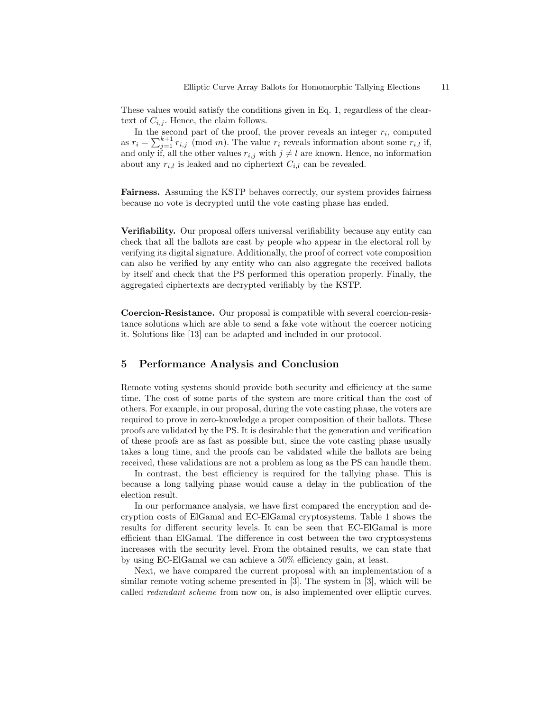These values would satisfy the conditions given in Eq. 1, regardless of the cleartext of  $C_{i,j}$ . Hence, the claim follows.

In the second part of the proof, the prover reveals an integer  $r_i$ , computed as  $r_i = \sum_{j=1}^{k+1} r_{i,j}$  (mod m). The value  $r_i$  reveals information about some  $r_{i,l}$  if, and only if, all the other values  $r_{i,j}$  with  $j \neq l$  are known. Hence, no information about any  $r_{i,l}$  is leaked and no ciphertext  $C_{i,l}$  can be revealed.

Fairness. Assuming the KSTP behaves correctly, our system provides fairness because no vote is decrypted until the vote casting phase has ended.

Verifiability. Our proposal offers universal verifiability because any entity can check that all the ballots are cast by people who appear in the electoral roll by verifying its digital signature. Additionally, the proof of correct vote composition can also be verified by any entity who can also aggregate the received ballots by itself and check that the PS performed this operation properly. Finally, the aggregated ciphertexts are decrypted verifiably by the KSTP.

Coercion-Resistance. Our proposal is compatible with several coercion-resistance solutions which are able to send a fake vote without the coercer noticing it. Solutions like [13] can be adapted and included in our protocol.

# 5 Performance Analysis and Conclusion

Remote voting systems should provide both security and efficiency at the same time. The cost of some parts of the system are more critical than the cost of others. For example, in our proposal, during the vote casting phase, the voters are required to prove in zero-knowledge a proper composition of their ballots. These proofs are validated by the PS. It is desirable that the generation and verification of these proofs are as fast as possible but, since the vote casting phase usually takes a long time, and the proofs can be validated while the ballots are being received, these validations are not a problem as long as the PS can handle them.

In contrast, the best efficiency is required for the tallying phase. This is because a long tallying phase would cause a delay in the publication of the election result.

In our performance analysis, we have first compared the encryption and decryption costs of ElGamal and EC-ElGamal cryptosystems. Table 1 shows the results for different security levels. It can be seen that EC-ElGamal is more efficient than ElGamal. The difference in cost between the two cryptosystems increases with the security level. From the obtained results, we can state that by using EC-ElGamal we can achieve a 50% efficiency gain, at least.

Next, we have compared the current proposal with an implementation of a similar remote voting scheme presented in [3]. The system in [3], which will be called redundant scheme from now on, is also implemented over elliptic curves.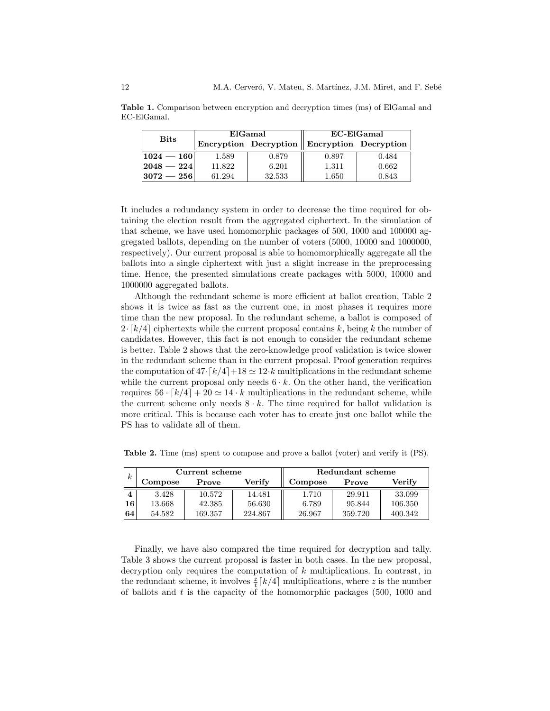| <b>Bits</b>           |        | ElGamal                                       | EC-ElGamal |       |
|-----------------------|--------|-----------------------------------------------|------------|-------|
|                       |        | Encryption Decryption   Encryption Decryption |            |       |
| $1024 - 160$          | 1.589  | 0.879                                         | 0.897      | 0.484 |
| $ 2048\rangle - 224 $ | 11.822 | 6.201                                         | 1.311      | 0.662 |
| $ 3072\rangle=256 $   | 61.294 | 32.533                                        | 1.650      | 0.843 |

Table 1. Comparison between encryption and decryption times (ms) of ElGamal and EC-ElGamal.

It includes a redundancy system in order to decrease the time required for obtaining the election result from the aggregated ciphertext. In the simulation of that scheme, we have used homomorphic packages of 500, 1000 and 100000 aggregated ballots, depending on the number of voters (5000, 10000 and 1000000, respectively). Our current proposal is able to homomorphically aggregate all the ballots into a single ciphertext with just a slight increase in the preprocessing time. Hence, the presented simulations create packages with 5000, 10000 and 1000000 aggregated ballots.

Although the redundant scheme is more efficient at ballot creation, Table 2 shows it is twice as fast as the current one, in most phases it requires more time than the new proposal. In the redundant scheme, a ballot is composed of  $2\cdot k/4$  ciphertexts while the current proposal contains k, being k the number of candidates. However, this fact is not enough to consider the redundant scheme is better. Table 2 shows that the zero-knowledge proof validation is twice slower in the redundant scheme than in the current proposal. Proof generation requires the computation of  $47 \cdot [k/4]+18 \simeq 12 \cdot k$  multiplications in the redundant scheme while the current proposal only needs  $6 \cdot k$ . On the other hand, the verification requires  $56 \cdot [k/4] + 20 \simeq 14 \cdot k$  multiplications in the redundant scheme, while the current scheme only needs  $8 \cdot k$ . The time required for ballot validation is more critical. This is because each voter has to create just one ballot while the PS has to validate all of them.

Table 2. Time (ms) spent to compose and prove a ballot (voter) and verify it (PS).

| $\kappa$                | Current scheme |         |         | Redundant scheme |         |         |
|-------------------------|----------------|---------|---------|------------------|---------|---------|
|                         | Compose        | Prove   | Verify  | Compose          | Prove   | Verifv  |
| $\overline{\mathbf{4}}$ | 3.428          | 10.572  | 14.481  | 1.710            | 29.911  | 33.099  |
| 16                      | 13.668         | 42.385  | 56.630  | 6.789            | 95.844  | 106.350 |
| 64                      | 54.582         | 169.357 | 224.867 | 26.967           | 359.720 | 400.342 |

Finally, we have also compared the time required for decryption and tally. Table 3 shows the current proposal is faster in both cases. In the new proposal, decryption only requires the computation of k multiplications. In contrast, in the redundant scheme, it involves  $\frac{z}{t}[k/4]$  multiplications, where z is the number of ballots and  $t$  is the capacity of the homomorphic packages  $(500, 1000, 1000)$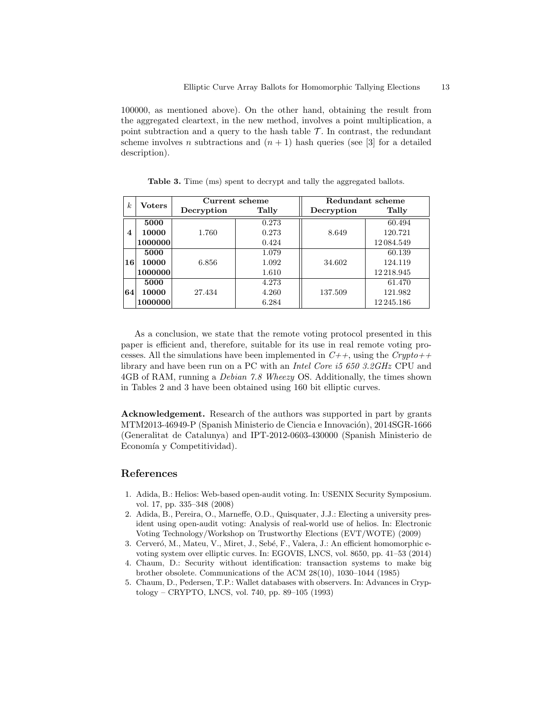100000, as mentioned above). On the other hand, obtaining the result from the aggregated cleartext, in the new method, involves a point multiplication, a point subtraction and a query to the hash table  $\mathcal{T}$ . In contrast, the redundant scheme involves *n* subtractions and  $(n + 1)$  hash queries (see [3] for a detailed description).

| $\boldsymbol{k}$        | <b>Voters</b> | Current scheme |       | Redundant scheme |            |
|-------------------------|---------------|----------------|-------|------------------|------------|
|                         |               | Decryption     | Tally | Decryption       | Tally      |
| $\overline{\mathbf{4}}$ | 5000          | 1.760          | 0.273 | 8.649            | 60.494     |
|                         | 10000         |                | 0.273 |                  | 120.721    |
|                         | 1000000       |                | 0.424 |                  | 12084.549  |
| 16                      | 5000          | 6.856          | 1.079 | 34.602           | 60.139     |
|                         | 10000         |                | 1.092 |                  | 124.119    |
|                         | 1000000       |                | 1.610 |                  | 12 218.945 |
| 64                      | 5000          | 27.434         | 4.273 | 137.509          | 61.470     |
|                         | 10000         |                | 4.260 |                  | 121.982    |
|                         | 1000000       |                | 6.284 |                  | 12 245.186 |

Table 3. Time (ms) spent to decrypt and tally the aggregated ballots.

As a conclusion, we state that the remote voting protocol presented in this paper is efficient and, therefore, suitable for its use in real remote voting processes. All the simulations have been implemented in  $C++$ , using the  $Crypto++$ library and have been run on a PC with an *Intel Core i5 650 3.2GHz* CPU and 4GB of RAM, running a Debian 7.8 Wheezy OS. Additionally, the times shown in Tables 2 and 3 have been obtained using 160 bit elliptic curves.

Acknowledgement. Research of the authors was supported in part by grants MTM2013-46949-P (Spanish Ministerio de Ciencia e Innovación), 2014SGR-1666 (Generalitat de Catalunya) and IPT-2012-0603-430000 (Spanish Ministerio de Economía y Competitividad).

## References

- 1. Adida, B.: Helios: Web-based open-audit voting. In: USENIX Security Symposium. vol. 17, pp. 335–348 (2008)
- 2. Adida, B., Pereira, O., Marneffe, O.D., Quisquater, J.J.: Electing a university president using open-audit voting: Analysis of real-world use of helios. In: Electronic Voting Technology/Workshop on Trustworthy Elections (EVT/WOTE) (2009)
- 3. Cerveró, M., Mateu, V., Miret, J., Sebé, F., Valera, J.: An efficient homomorphic evoting system over elliptic curves. In: EGOVIS, LNCS, vol. 8650, pp. 41–53 (2014)
- 4. Chaum, D.: Security without identification: transaction systems to make big brother obsolete. Communications of the ACM 28(10), 1030–1044 (1985)
- 5. Chaum, D., Pedersen, T.P.: Wallet databases with observers. In: Advances in Cryptology – CRYPTO, LNCS, vol. 740, pp. 89–105 (1993)